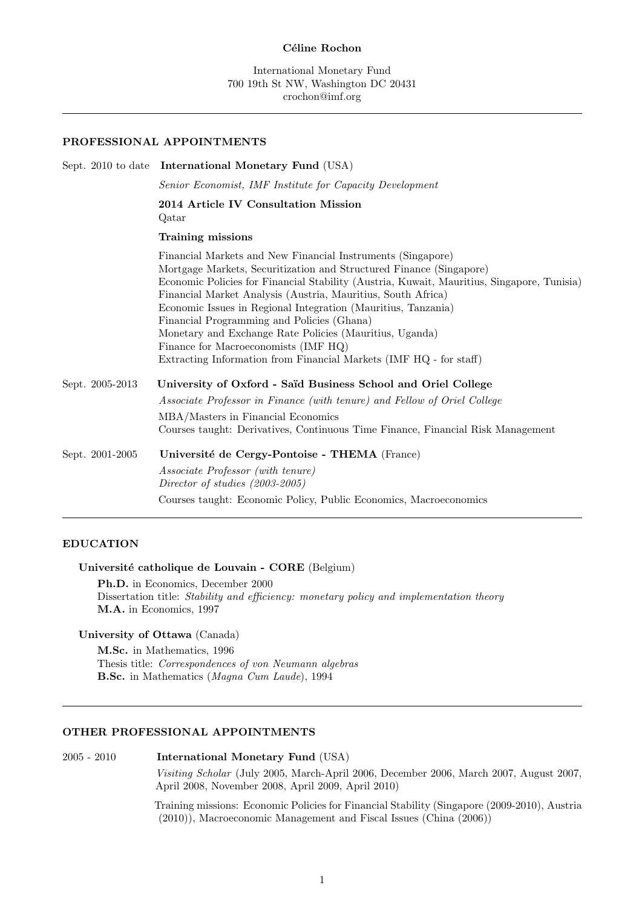### Céline Rochon

### **PROFESSIONAL APPOINTMENTS**

|                 | Sept. 2010 to date International Monetary Fund (USA)                                                                                                                                                                                                                                                                                                                                                                                                                                                                                                                                     |  |
|-----------------|------------------------------------------------------------------------------------------------------------------------------------------------------------------------------------------------------------------------------------------------------------------------------------------------------------------------------------------------------------------------------------------------------------------------------------------------------------------------------------------------------------------------------------------------------------------------------------------|--|
|                 | Senior Economist, IMF Institute for Capacity Development                                                                                                                                                                                                                                                                                                                                                                                                                                                                                                                                 |  |
|                 | 2014 Article IV Consultation Mission<br>Qatar                                                                                                                                                                                                                                                                                                                                                                                                                                                                                                                                            |  |
|                 | Training missions                                                                                                                                                                                                                                                                                                                                                                                                                                                                                                                                                                        |  |
|                 | Financial Markets and New Financial Instruments (Singapore)<br>Mortgage Markets, Securitization and Structured Finance (Singapore)<br>Economic Policies for Financial Stability (Austria, Kuwait, Mauritius, Singapore, Tunisia)<br>Financial Market Analysis (Austria, Mauritius, South Africa)<br>Economic Issues in Regional Integration (Mauritius, Tanzania)<br>Financial Programming and Policies (Ghana)<br>Monetary and Exchange Rate Policies (Mauritius, Uganda)<br>Finance for Macroeconomists (IMF HQ)<br>Extracting Information from Financial Markets (IMF HQ - for staff) |  |
| Sept. 2005-2013 | University of Oxford - Saïd Business School and Oriel College<br>Associate Professor in Finance (with tenure) and Fellow of Oriel College<br>MBA/Masters in Financial Economics<br>Courses taught: Derivatives, Continuous Time Finance, Financial Risk Management                                                                                                                                                                                                                                                                                                                       |  |
| Sept. 2001-2005 | Université de Cergy-Pontoise - THEMA (France)<br>Associate Professor (with tenure)<br>Director of studies (2003-2005)<br>Courses taught: Economic Policy, Public Economics, Macroeconomics                                                                                                                                                                                                                                                                                                                                                                                               |  |
|                 |                                                                                                                                                                                                                                                                                                                                                                                                                                                                                                                                                                                          |  |

# **EDUCATION**

## Université catholique de Louvain - CORE (Belgium)

**Ph.D.** in Economics, December 2000 Dissertation title: *Stability and efficiency: monetary policy and implementation theory* **M.A.** in Economics, 1997

# **University of Ottawa** (Canada)

**M.Sc.** in Mathematics, 1996 Thesis title: *Correspondences of von Neumann algebras* **B.Sc.** in Mathematics (*Magna Cum Laude*), 1994

## **OTHER PROFESSIONAL APPOINTMENTS**

2005 - 2010 **International Monetary Fund** (USA)

*Visiting Scholar* (July 2005, March-April 2006, December 2006, March 2007, August 2007, April 2008, November 2008, April 2009, April 2010)

Training missions: Economic Policies for Financial Stability (Singapore (2009-2010), Austria (2010)), Macroeconomic Management and Fiscal Issues (China (2006))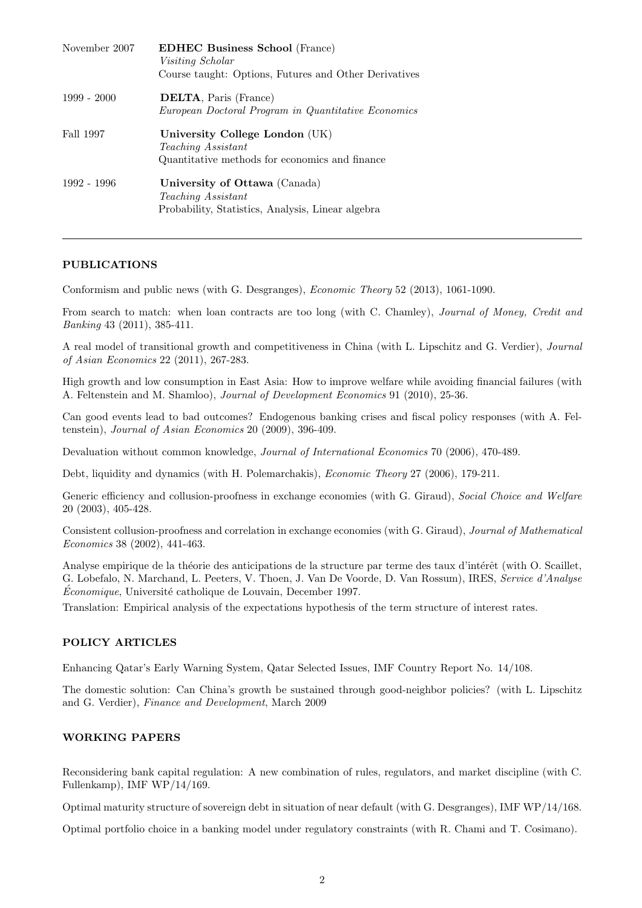| November 2007 | <b>EDHEC Business School (France)</b><br><i>Visiting Scholar</i><br>Course taught: Options, Futures and Other Derivatives |
|---------------|---------------------------------------------------------------------------------------------------------------------------|
| $1999 - 2000$ | <b>DELTA, Paris (France)</b><br>European Doctoral Program in Quantitative Economics                                       |
| Fall 1997     | University College London (UK)<br><i>Teaching Assistant</i><br>Quantitative methods for economics and finance             |
| 1992 - 1996   | University of Ottawa (Canada)<br><i>Teaching Assistant</i><br>Probability, Statistics, Analysis, Linear algebra           |

# **PUBLICATIONS**

Conformism and public news (with G. Desgranges), *Economic Theory* 52 (2013), 1061-1090.

From search to match: when loan contracts are too long (with C. Chamley), *Journal of Money, Credit and Banking* 43 (2011), 385-411.

A real model of transitional growth and competitiveness in China (with L. Lipschitz and G. Verdier), *Journal of Asian Economics* 22 (2011), 267-283.

High growth and low consumption in East Asia: How to improve welfare while avoiding financial failures (with A. Feltenstein and M. Shamloo), *Journal of Development Economics* 91 (2010), 25-36.

Can good events lead to bad outcomes? Endogenous banking crises and fiscal policy responses (with A. Feltenstein), *Journal of Asian Economics* 20 (2009), 396-409.

Devaluation without common knowledge, *Journal of International Economics* 70 (2006), 470-489.

Debt, liquidity and dynamics (with H. Polemarchakis), *Economic Theory* 27 (2006), 179-211.

Generic efficiency and collusion-proofness in exchange economies (with G. Giraud), *Social Choice and Welfare* 20 (2003), 405-428.

Consistent collusion-proofness and correlation in exchange economies (with G. Giraud), *Journal of Mathematical Economics* 38 (2002), 441-463.

Analyse empirique de la théorie des anticipations de la structure par terme des taux d'intérêt (with O. Scaillet, G. Lobefalo, N. Marchand, L. Peeters, V. Thoen, J. Van De Voorde, D. Van Rossum), IRES, *Service d'Analyse Économique*, Université catholique de Louvain, December 1997.

Translation: Empirical analysis of the expectations hypothesis of the term structure of interest rates.

# **POLICY ARTICLES**

Enhancing Qatar's Early Warning System, Qatar Selected Issues, IMF Country Report No. 14/108.

The domestic solution: Can China's growth be sustained through good-neighbor policies? (with L. Lipschitz and G. Verdier), *Finance and Development*, March 2009

# **WORKING PAPERS**

Reconsidering bank capital regulation: A new combination of rules, regulators, and market discipline (with C. Fullenkamp), IMF WP/14/169.

Optimal maturity structure of sovereign debt in situation of near default (with G. Desgranges), IMF WP/14/168.

Optimal portfolio choice in a banking model under regulatory constraints (with R. Chami and T. Cosimano).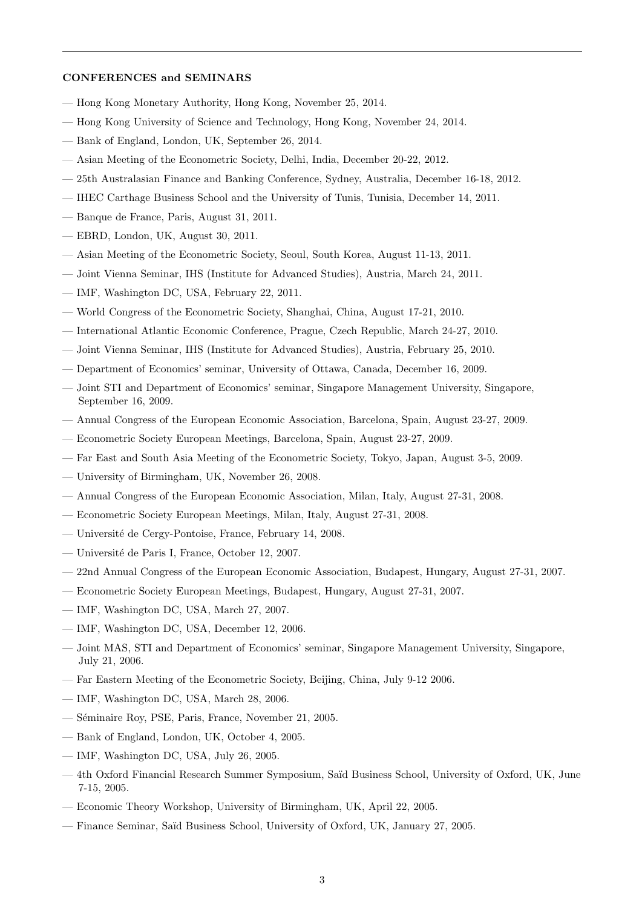# **CONFERENCES and SEMINARS**

- Hong Kong Monetary Authority, Hong Kong, November 25, 2014.
- Hong Kong University of Science and Technology, Hong Kong, November 24, 2014.
- Bank of England, London, UK, September 26, 2014.
- Asian Meeting of the Econometric Society, Delhi, India, December 20-22, 2012.
- 25th Australasian Finance and Banking Conference, Sydney, Australia, December 16-18, 2012.
- IHEC Carthage Business School and the University of Tunis, Tunisia, December 14, 2011.
- Banque de France, Paris, August 31, 2011.
- EBRD, London, UK, August 30, 2011.
- Asian Meeting of the Econometric Society, Seoul, South Korea, August 11-13, 2011.
- Joint Vienna Seminar, IHS (Institute for Advanced Studies), Austria, March 24, 2011.
- IMF, Washington DC, USA, February 22, 2011.
- World Congress of the Econometric Society, Shanghai, China, August 17-21, 2010.
- International Atlantic Economic Conference, Prague, Czech Republic, March 24-27, 2010.
- Joint Vienna Seminar, IHS (Institute for Advanced Studies), Austria, February 25, 2010.
- Department of Economics' seminar, University of Ottawa, Canada, December 16, 2009.
- Joint STI and Department of Economics' seminar, Singapore Management University, Singapore, September 16, 2009.
- Annual Congress of the European Economic Association, Barcelona, Spain, August 23-27, 2009.
- Econometric Society European Meetings, Barcelona, Spain, August 23-27, 2009.
- Far East and South Asia Meeting of the Econometric Society, Tokyo, Japan, August 3-5, 2009.
- University of Birmingham, UK, November 26, 2008.
- Annual Congress of the European Economic Association, Milan, Italy, August 27-31, 2008.
- Econometric Society European Meetings, Milan, Italy, August 27-31, 2008.
- Université de Cergy-Pontoise, France, February 14, 2008.
- Universit´e de Paris I, France, October 12, 2007.
- 22nd Annual Congress of the European Economic Association, Budapest, Hungary, August 27-31, 2007.
- Econometric Society European Meetings, Budapest, Hungary, August 27-31, 2007.
- IMF, Washington DC, USA, March 27, 2007.
- IMF, Washington DC, USA, December 12, 2006.
- Joint MAS, STI and Department of Economics' seminar, Singapore Management University, Singapore, July 21, 2006.
- Far Eastern Meeting of the Econometric Society, Beijing, China, July 9-12 2006.
- IMF, Washington DC, USA, March 28, 2006.
- Séminaire Roy, PSE, Paris, France, November 21, 2005.
- Bank of England, London, UK, October 4, 2005.
- IMF, Washington DC, USA, July 26, 2005.
- 4th Oxford Financial Research Summer Symposium, Sa¨ıd Business School, University of Oxford, UK, June 7-15, 2005.
- Economic Theory Workshop, University of Birmingham, UK, April 22, 2005.
- Finance Seminar, Sa¨ıd Business School, University of Oxford, UK, January 27, 2005.